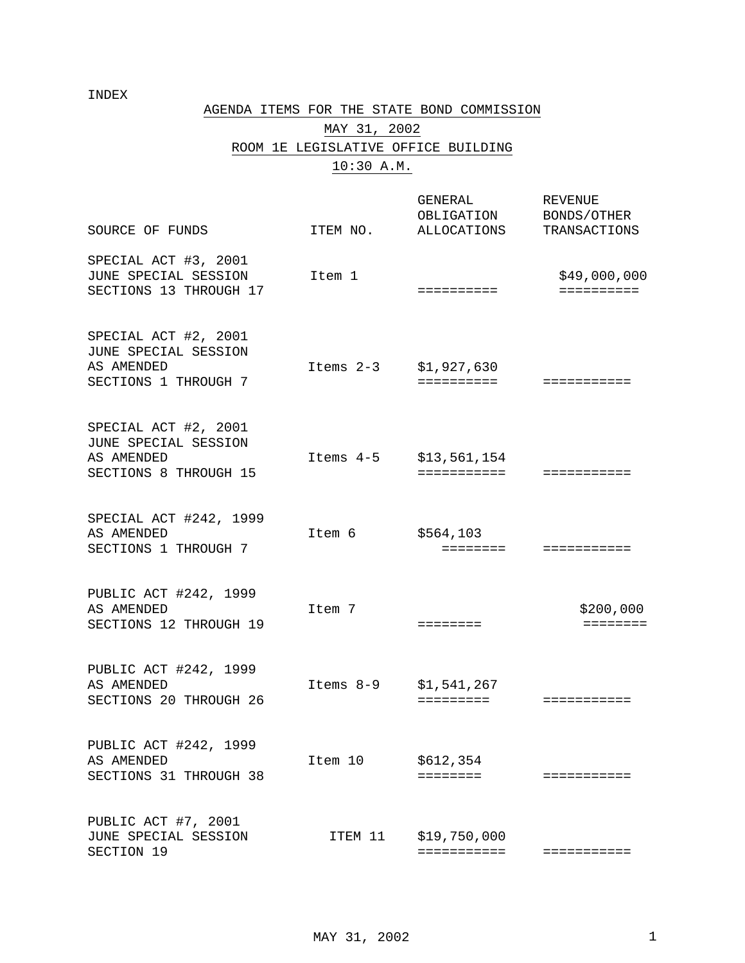### INDEX

# AGENDA ITEMS FOR THE STATE BOND COMMISSION MAY 31, 2002 ROOM 1E LEGISLATIVE OFFICE BUILDING 10:30 A.M.

| SOURCE OF FUNDS                                                                     | ITEM NO.    | GENERAL<br>OBLIGATION<br>ALLOCATIONS               | <b>REVENUE</b><br>BONDS/OTHER<br>TRANSACTIONS |
|-------------------------------------------------------------------------------------|-------------|----------------------------------------------------|-----------------------------------------------|
| SPECIAL ACT #3, 2001<br>JUNE SPECIAL SESSION<br>SECTIONS 13 THROUGH 17              | Item 1      | $=$ = = = = = = = = =                              | \$49,000,000<br>==========                    |
| SPECIAL ACT #2, 2001<br>JUNE SPECIAL SESSION<br>AS AMENDED<br>SECTIONS 1 THROUGH 7  | Items $2-3$ | \$1,927,630<br>==========                          | ===========                                   |
| SPECIAL ACT #2, 2001<br>JUNE SPECIAL SESSION<br>AS AMENDED<br>SECTIONS 8 THROUGH 15 | Items 4-5   | \$13,561,154<br>===========                        | ===========                                   |
| SPECIAL ACT #242, 1999<br>AS AMENDED<br>SECTIONS 1 THROUGH 7                        | Item 6      | \$564,103<br>========                              | ===========                                   |
| PUBLIC ACT #242, 1999<br>AS AMENDED<br>SECTIONS 12 THROUGH 19                       | Item 7      | ========                                           | \$200,000<br>========                         |
| PUBLIC ACT #242, 1999<br>AS AMENDED<br>SECTIONS 20 THROUGH 26                       | Items 8-9   | \$1,541,267<br>$=$ $=$ $=$ $=$ $=$ $=$ $=$ $=$ $=$ | ===========                                   |
| PUBLIC ACT #242, 1999<br>AS AMENDED<br>SECTIONS 31 THROUGH 38                       | Item 10     | \$612,354<br>:=======                              | ===========                                   |
| PUBLIC ACT #7, 2001<br>JUNE SPECIAL SESSION<br>SECTION 19                           | ITEM 11     | \$19,750,000<br>===========                        | ===========                                   |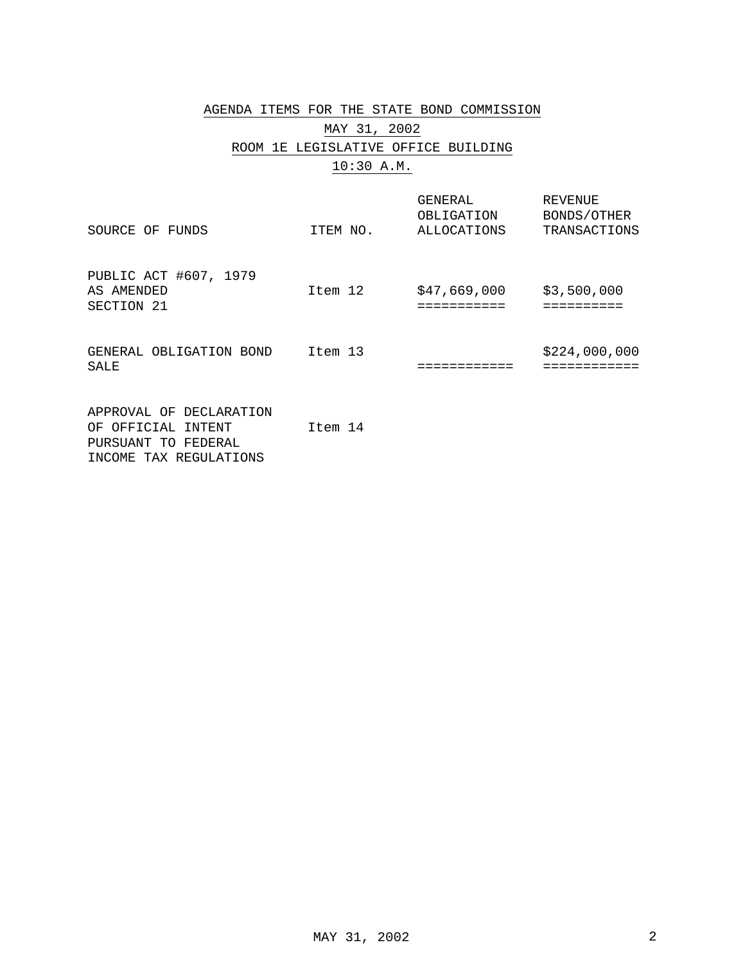## AGENDA ITEMS FOR THE STATE BOND COMMISSION MAY 31, 2002 ROOM 1E LEGISLATIVE OFFICE BUILDING 10:30 A.M.

SOURCE OF FUNDS ITEM NO. GENERAL OBLIGATION ALLOCATIONS REVENUE BONDS/OTHER TRANSACTIONS PUBLIC ACT #607, 1979 AS AMENDED SECTION 21 Item 12 \$47,669,000 \$3,500,000 =========== ========== GENERAL OBLIGATION BOND Item 13 SALE ============ ============ \$224,000,000 APPROVAL OF DECLARATION OF OFFICIAL INTENT PURSUANT TO FEDERAL Item 14

INCOME TAX REGULATIONS

MAY 31, 2002 2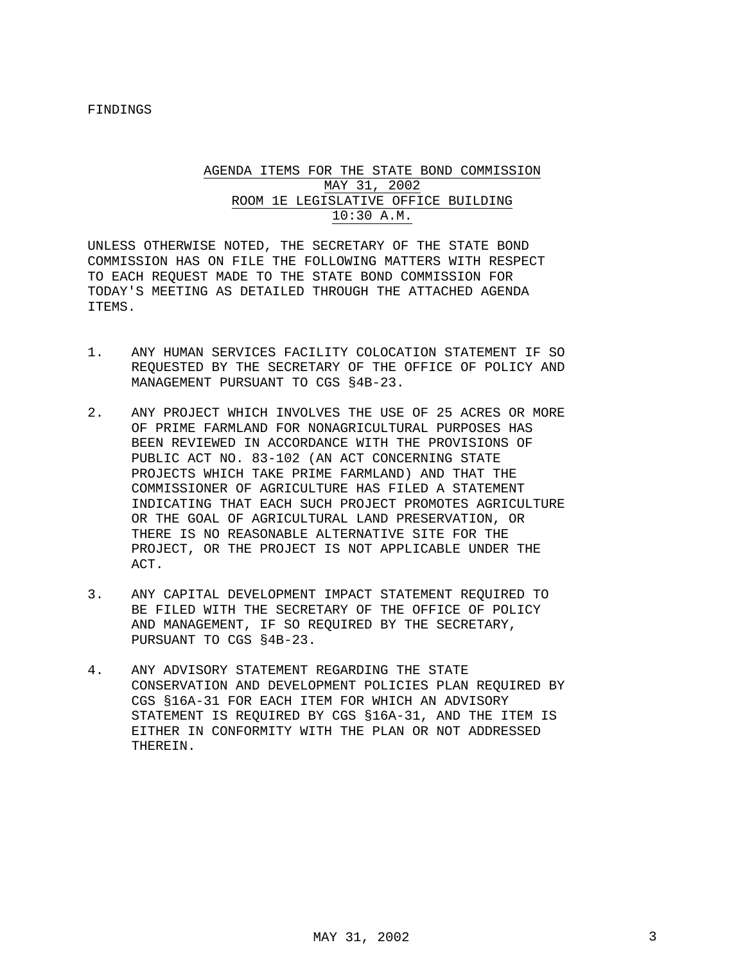### AGENDA ITEMS FOR THE STATE BOND COMMISSION MAY 31, 2002 ROOM 1E LEGISLATIVE OFFICE BUILDING 10:30 A.M.

UNLESS OTHERWISE NOTED, THE SECRETARY OF THE STATE BOND COMMISSION HAS ON FILE THE FOLLOWING MATTERS WITH RESPECT TO EACH REQUEST MADE TO THE STATE BOND COMMISSION FOR TODAY'S MEETING AS DETAILED THROUGH THE ATTACHED AGENDA ITEMS.

- 1. ANY HUMAN SERVICES FACILITY COLOCATION STATEMENT IF SO REQUESTED BY THE SECRETARY OF THE OFFICE OF POLICY AND MANAGEMENT PURSUANT TO CGS §4B-23.
- 2. ANY PROJECT WHICH INVOLVES THE USE OF 25 ACRES OR MORE OF PRIME FARMLAND FOR NONAGRICULTURAL PURPOSES HAS BEEN REVIEWED IN ACCORDANCE WITH THE PROVISIONS OF PUBLIC ACT NO. 83-102 (AN ACT CONCERNING STATE PROJECTS WHICH TAKE PRIME FARMLAND) AND THAT THE COMMISSIONER OF AGRICULTURE HAS FILED A STATEMENT INDICATING THAT EACH SUCH PROJECT PROMOTES AGRICULTURE OR THE GOAL OF AGRICULTURAL LAND PRESERVATION, OR THERE IS NO REASONABLE ALTERNATIVE SITE FOR THE PROJECT, OR THE PROJECT IS NOT APPLICABLE UNDER THE ACT.
- 3. ANY CAPITAL DEVELOPMENT IMPACT STATEMENT REQUIRED TO BE FILED WITH THE SECRETARY OF THE OFFICE OF POLICY AND MANAGEMENT, IF SO REQUIRED BY THE SECRETARY, PURSUANT TO CGS §4B-23.
- 4. ANY ADVISORY STATEMENT REGARDING THE STATE CONSERVATION AND DEVELOPMENT POLICIES PLAN REQUIRED BY CGS §16A-31 FOR EACH ITEM FOR WHICH AN ADVISORY STATEMENT IS REQUIRED BY CGS §16A-31, AND THE ITEM IS EITHER IN CONFORMITY WITH THE PLAN OR NOT ADDRESSED THEREIN.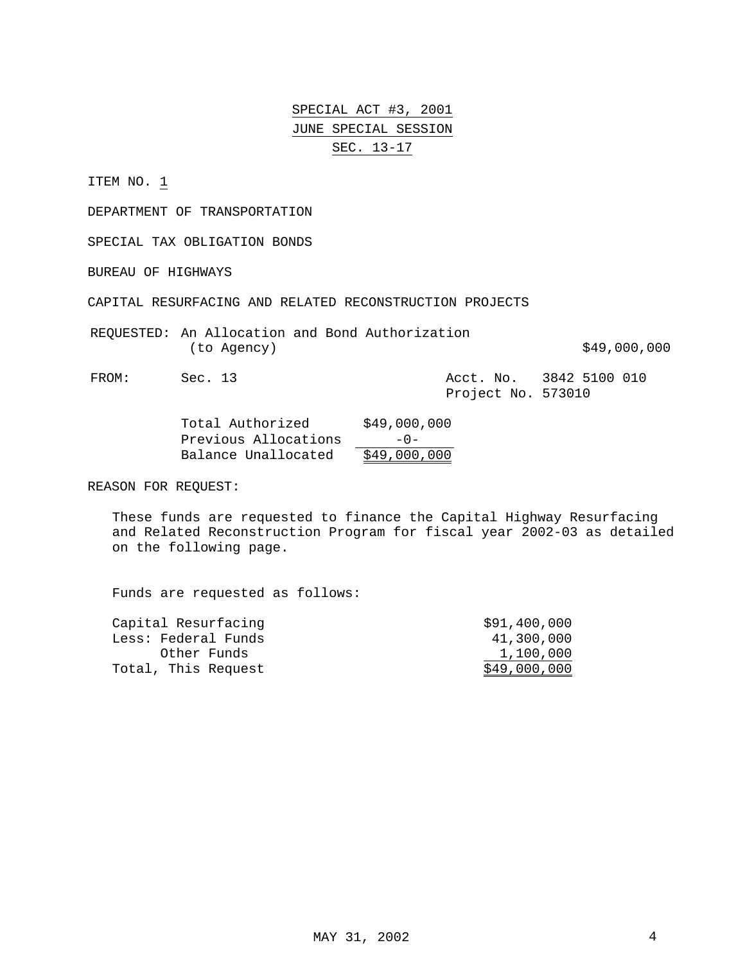## SPECIAL ACT #3, 2001 JUNE SPECIAL SESSION SEC. 13-17

ITEM NO. 1

DEPARTMENT OF TRANSPORTATION

SPECIAL TAX OBLIGATION BONDS

BUREAU OF HIGHWAYS

CAPITAL RESURFACING AND RELATED RECONSTRUCTION PROJECTS

REQUESTED: An Allocation and Bond Authorization (to Agency)  $$49,000,000$ 

FROM: Sec. 13 Acct. No. 3842 5100 010 Project No. 573010

| Total Authorized     | \$49,000,000 |
|----------------------|--------------|
| Previous Allocations | $-0-$        |
| Balance Unallocated  | \$49,000,000 |

REASON FOR REQUEST:

These funds are requested to finance the Capital Highway Resurfacing and Related Reconstruction Program for fiscal year 2002-03 as detailed on the following page.

Funds are requested as follows:

| Capital Resurfacing | \$91,400,000 |
|---------------------|--------------|
| Less: Federal Funds | 41,300,000   |
| Other Funds         | 1,100,000    |
| Total, This Request | \$49,000,000 |
|                     |              |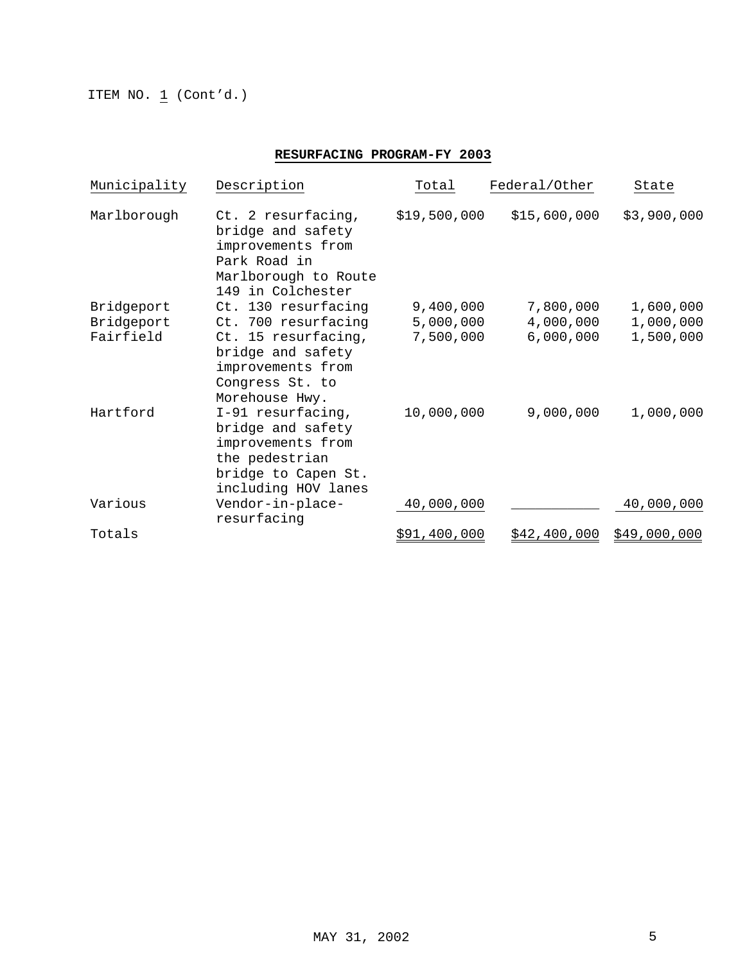ITEM NO.  $1 (Cont'd.)$ 

## **RESURFACING PROGRAM-FY 2003**

| Municipality | Description                                                                                                                   | Total        | Federal/Other | State        |
|--------------|-------------------------------------------------------------------------------------------------------------------------------|--------------|---------------|--------------|
| Marlborough  | Ct. 2 resurfacing,<br>bridge and safety<br>improvements from<br>Park Road in<br>Marlborough to Route<br>149 in Colchester     | \$19,500,000 | \$15,600,000  | \$3,900,000  |
| Bridgeport   | Ct. 130 resurfacing                                                                                                           | 9,400,000    | 7,800,000     | 1,600,000    |
| Bridgeport   | Ct. 700 resurfacing                                                                                                           | 5,000,000    | 4,000,000     | 1,000,000    |
| Fairfield    | Ct. 15 resurfacing,<br>bridge and safety<br>improvements from<br>Congress St. to<br>Morehouse Hwy.                            | 7,500,000    | 6,000,000     | 1,500,000    |
| Hartford     | $I-91$ resurfacing,<br>bridge and safety<br>improvements from<br>the pedestrian<br>bridge to Capen St.<br>including HOV lanes | 10,000,000   | 9,000,000     | 1,000,000    |
| Various      | Vendor-in-place-<br>resurfacing                                                                                               | 40,000,000   |               | 40,000,000   |
| Totals       |                                                                                                                               | \$91,400,000 | \$42,400,000  | \$49,000,000 |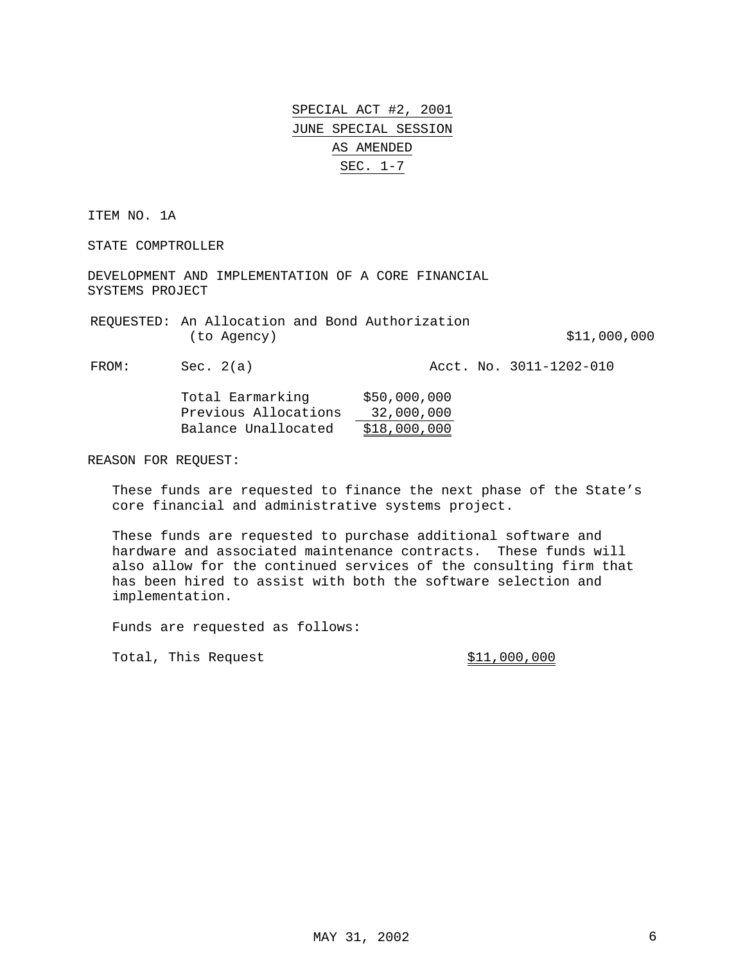SPECIAL ACT #2, 2001 JUNE SPECIAL SESSION AS AMENDED SEC. 1-7

ITEM NO. 1A

STATE COMPTROLLER

DEVELOPMENT AND IMPLEMENTATION OF A CORE FINANCIAL SYSTEMS PROJECT

REQUESTED: An Allocation and Bond Authorization (to Agency)  $$11,000,000$ 

FROM: Sec. 2(a) Acct. No. 3011-1202-010

| Total Earmarking     | \$50,000,000 |
|----------------------|--------------|
| Previous Allocations | 32,000,000   |
| Balance Unallocated  | \$18,000,000 |

REASON FOR REQUEST:

These funds are requested to finance the next phase of the State's core financial and administrative systems project.

These funds are requested to purchase additional software and hardware and associated maintenance contracts. These funds will also allow for the continued services of the consulting firm that has been hired to assist with both the software selection and implementation.

Funds are requested as follows:

Total, This Request  $$11,000,000$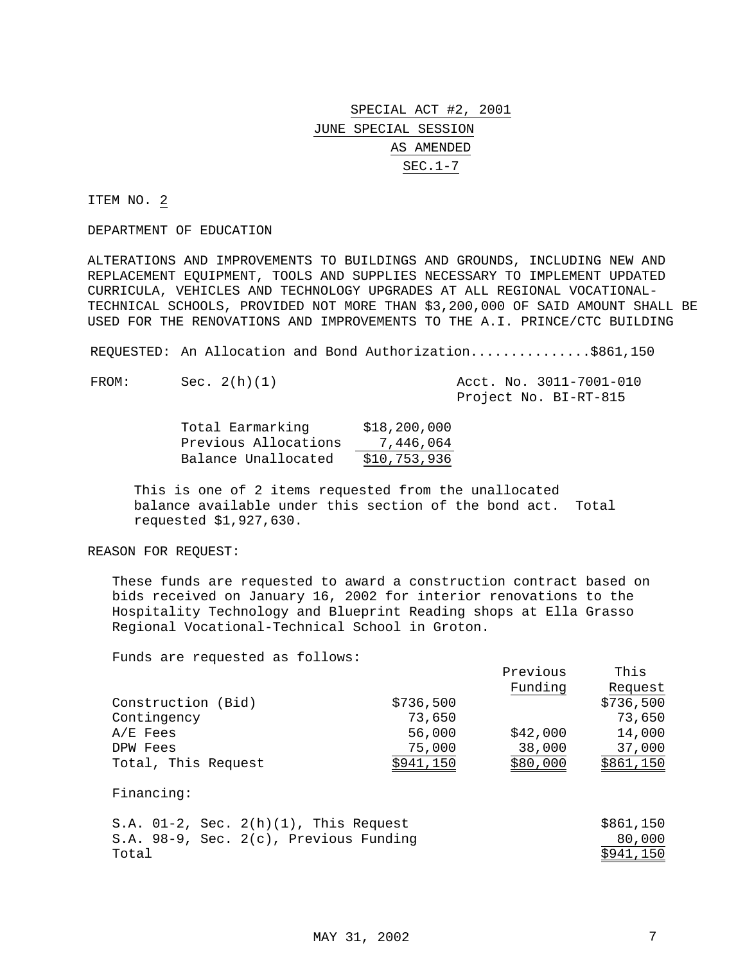# SPECIAL ACT #2, 2001 JUNE SPECIAL SESSION AS AMENDED SEC.1-7

ITEM NO. 2

DEPARTMENT OF EDUCATION

ALTERATIONS AND IMPROVEMENTS TO BUILDINGS AND GROUNDS, INCLUDING NEW AND REPLACEMENT EQUIPMENT, TOOLS AND SUPPLIES NECESSARY TO IMPLEMENT UPDATED CURRICULA, VEHICLES AND TECHNOLOGY UPGRADES AT ALL REGIONAL VOCATIONAL-TECHNICAL SCHOOLS, PROVIDED NOT MORE THAN \$3,200,000 OF SAID AMOUNT SHALL BE USED FOR THE RENOVATIONS AND IMPROVEMENTS TO THE A.I. PRINCE/CTC BUILDING

REQUESTED: An Allocation and Bond Authorization...............\$861,150

FROM: Sec. 2(h)(1) Acct. No. 3011-7001-010 Project No. BI-RT-815

| Total Earmarking     | \$18,200,000 |
|----------------------|--------------|
| Previous Allocations | 7,446,064    |
| Balance Unallocated  | \$10,753,936 |

This is one of 2 items requested from the unallocated balance available under this section of the bond act. Total requested \$1,927,630.

REASON FOR REQUEST:

These funds are requested to award a construction contract based on bids received on January 16, 2002 for interior renovations to the Hospitality Technology and Blueprint Reading shops at Ella Grasso Regional Vocational-Technical School in Groton.

Funds are requested as follows:

|                     |           | Previous | This      |
|---------------------|-----------|----------|-----------|
|                     |           | Funding  | Request   |
| Construction (Bid)  | \$736,500 |          | \$736,500 |
| Contingency         | 73,650    |          | 73,650    |
| $A/E$ Fees          | 56,000    | \$42,000 | 14,000    |
| DPW Fees            | 75,000    | 38,000   | 37,000    |
| Total, This Request | \$941,150 | \$80,000 | \$861,150 |
|                     |           |          |           |
| Financing:          |           |          |           |
|                     |           |          |           |

|       |  | S.A. $01-2$ , Sec. $2(h)(1)$ , This Request | \$861,150 |
|-------|--|---------------------------------------------|-----------|
|       |  | S.A. 98-9, Sec. 2(c), Previous Funding      | 80,000    |
| Total |  |                                             | \$941,150 |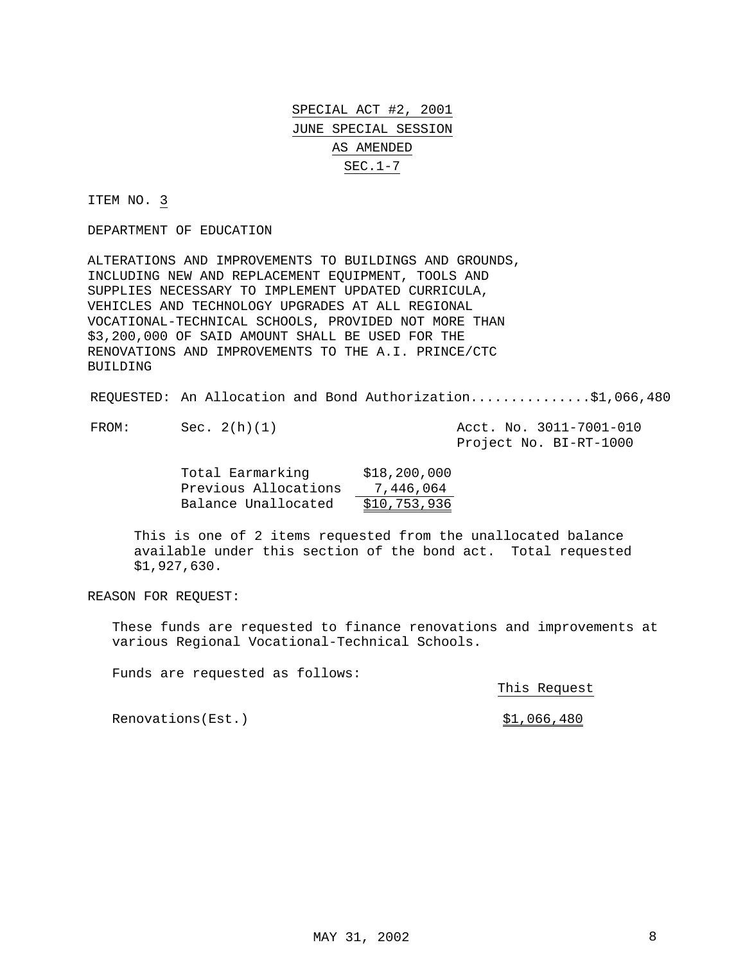SPECIAL ACT #2, 2001 JUNE SPECIAL SESSION AS AMENDED SEC.1-7

ITEM NO. 3

DEPARTMENT OF EDUCATION

ALTERATIONS AND IMPROVEMENTS TO BUILDINGS AND GROUNDS, INCLUDING NEW AND REPLACEMENT EQUIPMENT, TOOLS AND SUPPLIES NECESSARY TO IMPLEMENT UPDATED CURRICULA, VEHICLES AND TECHNOLOGY UPGRADES AT ALL REGIONAL VOCATIONAL-TECHNICAL SCHOOLS, PROVIDED NOT MORE THAN \$3,200,000 OF SAID AMOUNT SHALL BE USED FOR THE RENOVATIONS AND IMPROVEMENTS TO THE A.I. PRINCE/CTC BUILDING

REQUESTED: An Allocation and Bond Authorization...............\$1,066,480

FROM: Sec. 2(h)(1) Acct. No. 3011-7001-010 Project No. BI-RT-1000

| Total Earmarking     | \$18,200,000 |
|----------------------|--------------|
| Previous Allocations | 7,446,064    |
| Balance Unallocated  | \$10,753,936 |

This is one of 2 items requested from the unallocated balance available under this section of the bond act. Total requested \$1,927,630.

REASON FOR REQUEST:

These funds are requested to finance renovations and improvements at various Regional Vocational-Technical Schools.

Funds are requested as follows:

This Request

Renovations(Est.) \$1,066,480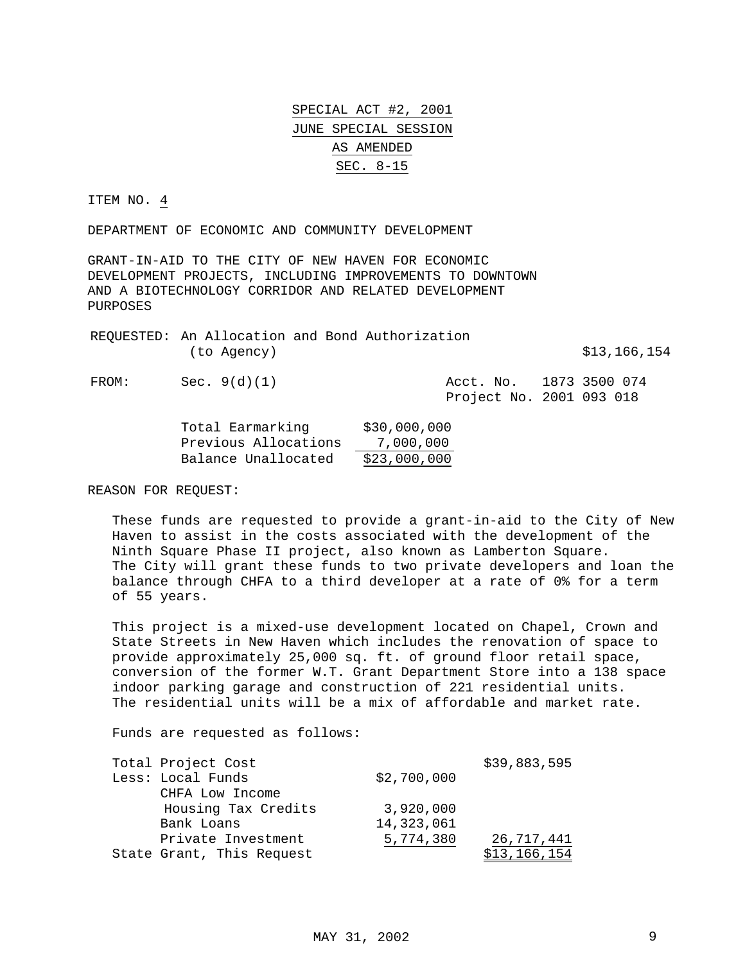SPECIAL ACT #2, 2001 JUNE SPECIAL SESSION AS AMENDED SEC. 8-15

ITEM NO. 4

DEPARTMENT OF ECONOMIC AND COMMUNITY DEVELOPMENT

GRANT-IN-AID TO THE CITY OF NEW HAVEN FOR ECONOMIC DEVELOPMENT PROJECTS, INCLUDING IMPROVEMENTS TO DOWNTOWN AND A BIOTECHNOLOGY CORRIDOR AND RELATED DEVELOPMENT PURPOSES

| REQUESTED: An Allocation and Bond Authorization | (to Agency)    |  |  |                                                     |  | \$13,166,154 |  |
|-------------------------------------------------|----------------|--|--|-----------------------------------------------------|--|--------------|--|
| FROM:                                           | Sec. $9(d)(1)$ |  |  | Acct. No. 1873 3500 074<br>Project No. 2001 093 018 |  |              |  |

| \$30,000,000 |
|--------------|
| 7,000,000    |
| \$23,000,000 |
|              |

REASON FOR REQUEST:

These funds are requested to provide a grant-in-aid to the City of New Haven to assist in the costs associated with the development of the Ninth Square Phase II project, also known as Lamberton Square. The City will grant these funds to two private developers and loan the balance through CHFA to a third developer at a rate of 0% for a term of 55 years.

This project is a mixed-use development located on Chapel, Crown and State Streets in New Haven which includes the renovation of space to provide approximately 25,000 sq. ft. of ground floor retail space, conversion of the former W.T. Grant Department Store into a 138 space indoor parking garage and construction of 221 residential units. The residential units will be a mix of affordable and market rate.

Funds are requested as follows:

| Total Project Cost        |              | \$39,883,595 |
|---------------------------|--------------|--------------|
| Less: Local Funds         | \$2,700,000  |              |
| CHFA Low Income           |              |              |
| Housing Tax Credits       | 3,920,000    |              |
| Bank Loans                | 14, 323, 061 |              |
| Private Investment        | 5,774,380    | 26,717,441   |
| State Grant, This Request |              | \$13,166,154 |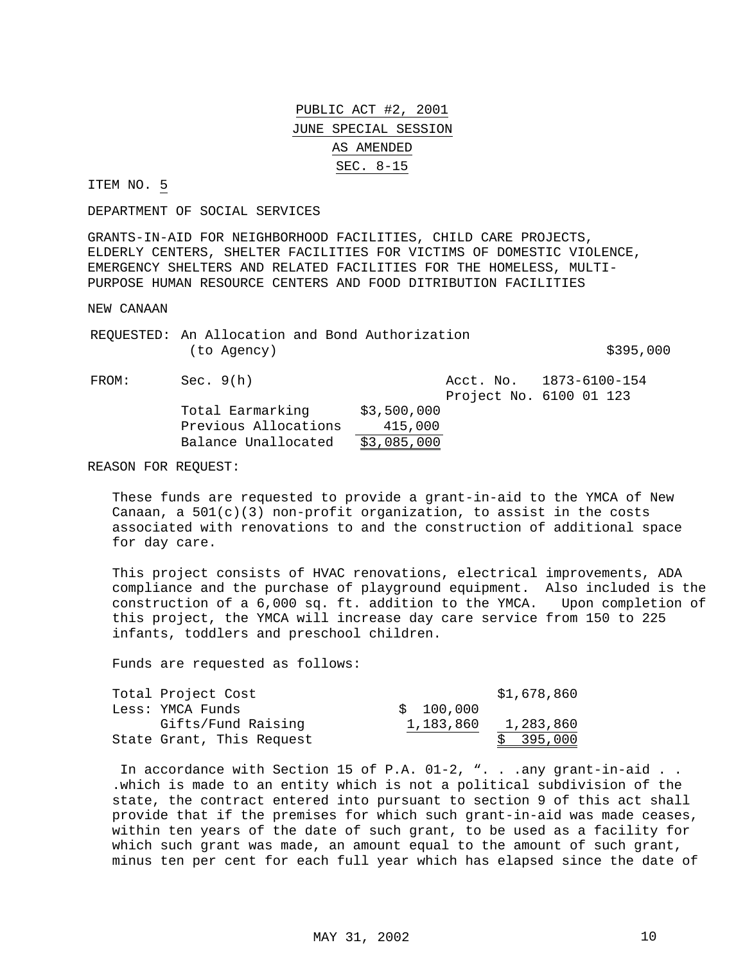PUBLIC ACT #2, 2001 JUNE SPECIAL SESSION AS AMENDED SEC. 8-15

ITEM NO. 5

DEPARTMENT OF SOCIAL SERVICES

GRANTS-IN-AID FOR NEIGHBORHOOD FACILITIES, CHILD CARE PROJECTS, ELDERLY CENTERS, SHELTER FACILITIES FOR VICTIMS OF DOMESTIC VIOLENCE, EMERGENCY SHELTERS AND RELATED FACILITIES FOR THE HOMELESS, MULTI-PURPOSE HUMAN RESOURCE CENTERS AND FOOD DITRIBUTION FACILITIES

NEW CANAAN

| REQUESTED: An Allocation and Bond Authorization |  |           |
|-------------------------------------------------|--|-----------|
| (to Agency)                                     |  | \$395,000 |

| FROM: | Sec. 9(h)            |             |                         | Acct. No. 1873-6100-154 |
|-------|----------------------|-------------|-------------------------|-------------------------|
|       |                      |             | Project No. 6100 01 123 |                         |
|       | Total Earmarking     | \$3,500,000 |                         |                         |
|       | Previous Allocations | 415,000     |                         |                         |
|       | Balance Unallocated  | \$3,085,000 |                         |                         |

REASON FOR REQUEST:

These funds are requested to provide a grant-in-aid to the YMCA of New Canaan, a  $501(c)(3)$  non-profit organization, to assist in the costs associated with renovations to and the construction of additional space for day care.

This project consists of HVAC renovations, electrical improvements, ADA compliance and the purchase of playground equipment. Also included is the construction of a 6,000 sq. ft. addition to the YMCA. Upon completion of this project, the YMCA will increase day care service from 150 to 225 infants, toddlers and preschool children.

Funds are requested as follows:

| Total Project Cost        |           | \$1,678,860 |
|---------------------------|-----------|-------------|
| Less: YMCA Funds          | \$100,000 |             |
| Gifts/Fund Raising        | 1,183,860 | 1,283,860   |
| State Grant, This Request |           | \$395,000   |

In accordance with Section 15 of P.A. 01-2, ". . .any grant-in-aid . . .which is made to an entity which is not a political subdivision of the state, the contract entered into pursuant to section 9 of this act shall provide that if the premises for which such grant-in-aid was made ceases, within ten years of the date of such grant, to be used as a facility for which such grant was made, an amount equal to the amount of such grant, minus ten per cent for each full year which has elapsed since the date of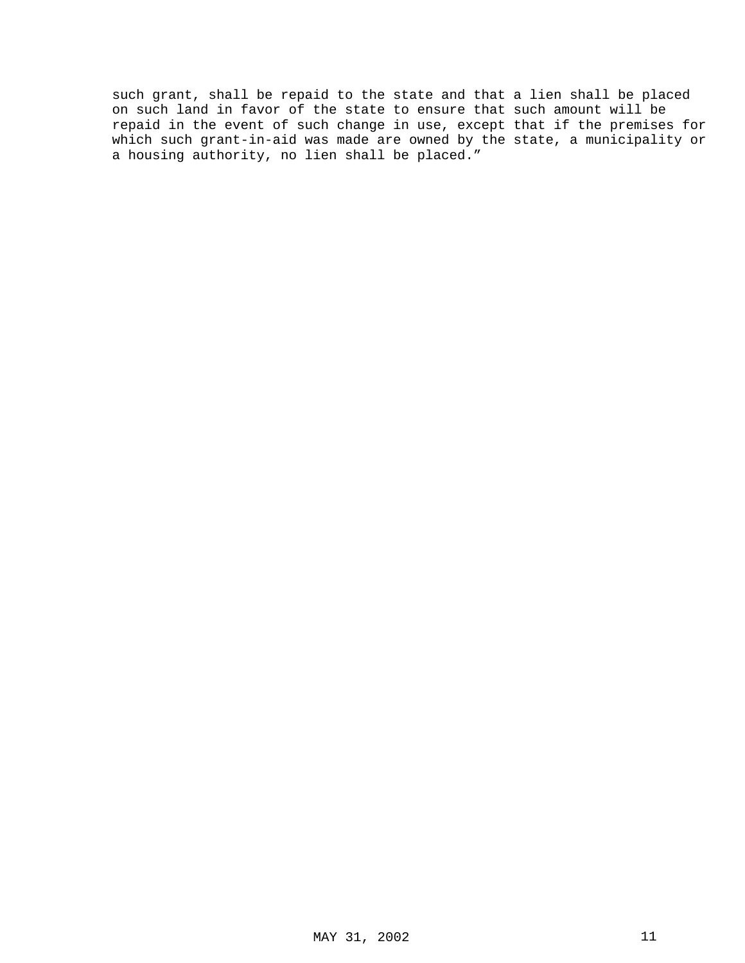such grant, shall be repaid to the state and that a lien shall be placed on such land in favor of the state to ensure that such amount will be repaid in the event of such change in use, except that if the premises for which such grant-in-aid was made are owned by the state, a municipality or a housing authority, no lien shall be placed."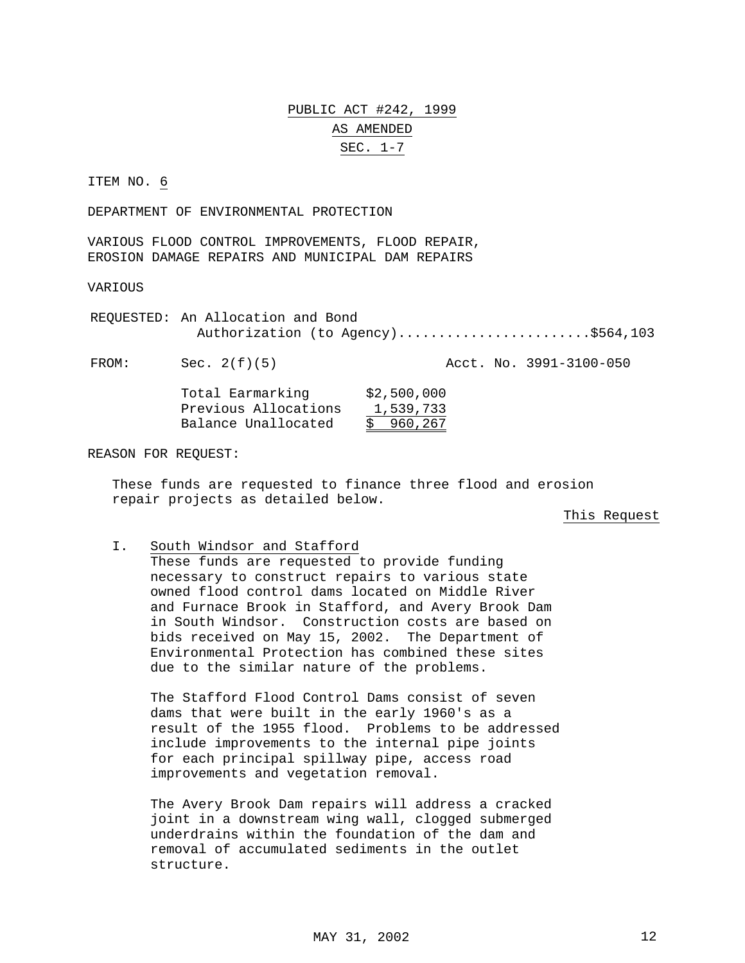### PUBLIC ACT #242, 1999 AS AMENDED SEC. 1-7

#### ITEM NO. 6

DEPARTMENT OF ENVIRONMENTAL PROTECTION

VARIOUS FLOOD CONTROL IMPROVEMENTS, FLOOD REPAIR, EROSION DAMAGE REPAIRS AND MUNICIPAL DAM REPAIRS

### VARIOUS

REQUESTED: An Allocation and Bond Authorization (to Agency)........................\$564,103

FROM: Sec. 2(f)(5) Acct. No. 3991-3100-050

Total Earmarking \$2,500,000 Previous Allocations 1,539,733

Balance Unallocated \$ 960,267

### REASON FOR REQUEST:

These funds are requested to finance three flood and erosion repair projects as detailed below.

This Request

#### I. South Windsor and Stafford

These funds are requested to provide funding necessary to construct repairs to various state owned flood control dams located on Middle River and Furnace Brook in Stafford, and Avery Brook Dam in South Windsor. Construction costs are based on bids received on May 15, 2002. The Department of Environmental Protection has combined these sites due to the similar nature of the problems.

The Stafford Flood Control Dams consist of seven dams that were built in the early 1960's as a result of the 1955 flood. Problems to be addressed include improvements to the internal pipe joints for each principal spillway pipe, access road improvements and vegetation removal.

The Avery Brook Dam repairs will address a cracked joint in a downstream wing wall, clogged submerged underdrains within the foundation of the dam and removal of accumulated sediments in the outlet structure.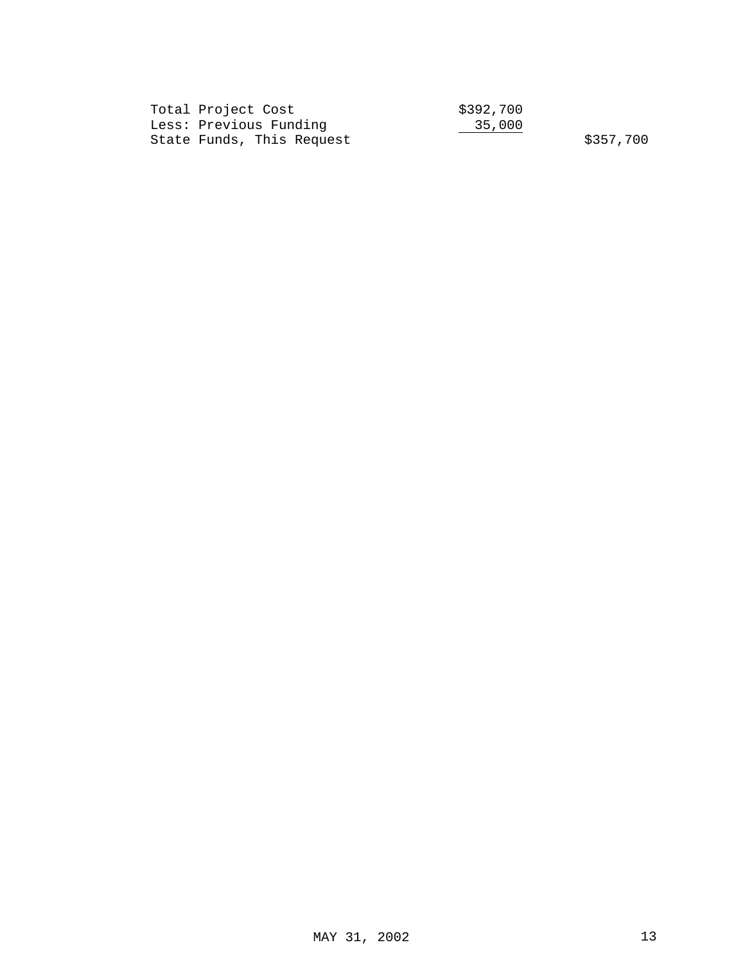| Total Project Cost        | \$392,700 |           |
|---------------------------|-----------|-----------|
| Less: Previous Funding    | 35,000    |           |
| State Funds, This Request |           | \$357,700 |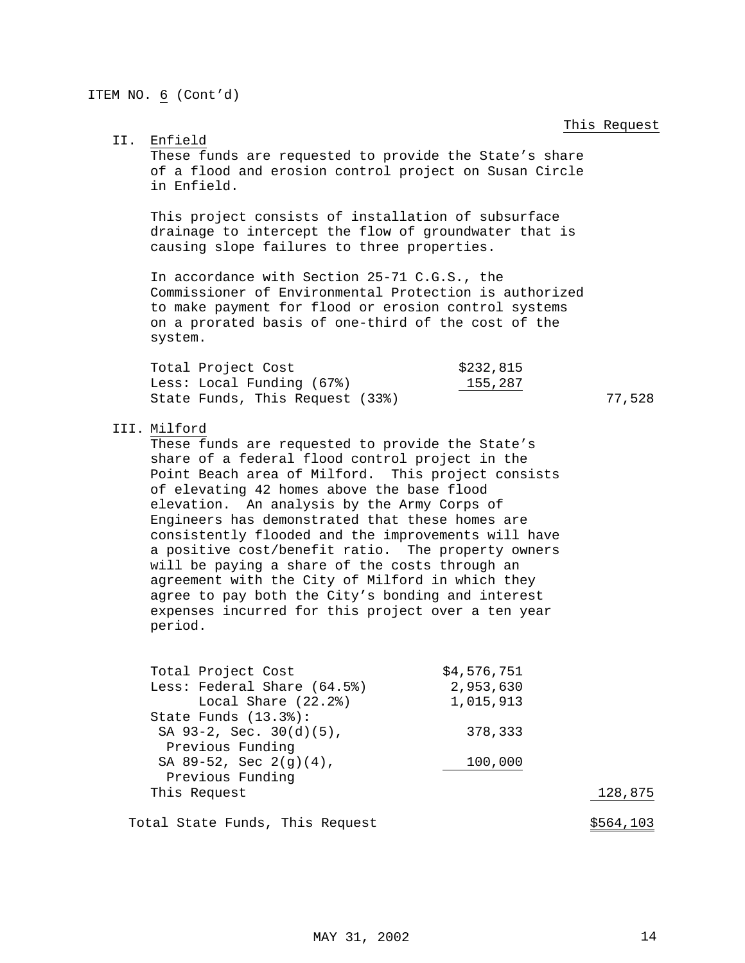#### This Request

II. Enfield These funds are requested to provide the State's share of a flood and erosion control project on Susan Circle in Enfield.

This project consists of installation of subsurface drainage to intercept the flow of groundwater that is causing slope failures to three properties.

In accordance with Section 25-71 C.G.S., the Commissioner of Environmental Protection is authorized to make payment for flood or erosion control systems on a prorated basis of one-third of the cost of the system.

| Total Project Cost              | \$232,815 |
|---------------------------------|-----------|
| Less: Local Funding (67%)       | 155,287   |
| State Funds, This Request (33%) | 77,528    |

### III. Milford

These funds are requested to provide the State's share of a federal flood control project in the Point Beach area of Milford. This project consists of elevating 42 homes above the base flood elevation. An analysis by the Army Corps of Engineers has demonstrated that these homes are consistently flooded and the improvements will have a positive cost/benefit ratio. The property owners will be paying a share of the costs through an agreement with the City of Milford in which they agree to pay both the City's bonding and interest expenses incurred for this project over a ten year period.

| Total Project Cost          | \$4,576,751 |         |
|-----------------------------|-------------|---------|
| Less: Federal Share (64.5%) | 2,953,630   |         |
| Local Share $(22.2)$        | 1,015,913   |         |
| State Funds $(13.3)$ :      |             |         |
| SA 93-2, Sec. $30(d)(5)$ ,  | 378,333     |         |
| Previous Funding            |             |         |
| SA 89-52, Sec $2(g)(4)$ ,   | 100,000     |         |
| Previous Funding            |             |         |
| This Request                |             | 128,875 |
|                             |             |         |

Total State Funds, This Request  $$564,103$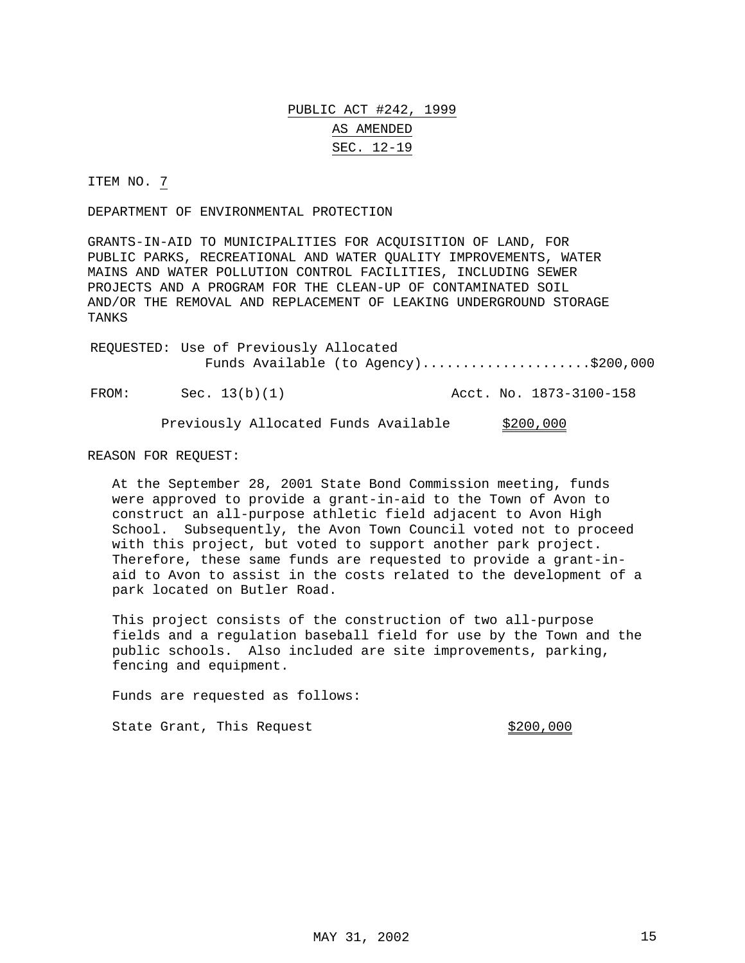## PUBLIC ACT #242, 1999 AS AMENDED SEC. 12-19

ITEM NO. 7

DEPARTMENT OF ENVIRONMENTAL PROTECTION

GRANTS-IN-AID TO MUNICIPALITIES FOR ACQUISITION OF LAND, FOR PUBLIC PARKS, RECREATIONAL AND WATER QUALITY IMPROVEMENTS, WATER MAINS AND WATER POLLUTION CONTROL FACILITIES, INCLUDING SEWER PROJECTS AND A PROGRAM FOR THE CLEAN-UP OF CONTAMINATED SOIL AND/OR THE REMOVAL AND REPLACEMENT OF LEAKING UNDERGROUND STORAGE TANKS

| REQUESTED: Use of Previously Allocated |  |
|----------------------------------------|--|
| Funds Available (to Agency)\$200,000   |  |

FROM: Sec. 13(b)(1) Acct. No. 1873-3100-158

Previously Allocated Funds Available \$200,000

REASON FOR REQUEST:

At the September 28, 2001 State Bond Commission meeting, funds were approved to provide a grant-in-aid to the Town of Avon to construct an all-purpose athletic field adjacent to Avon High School. Subsequently, the Avon Town Council voted not to proceed with this project, but voted to support another park project. Therefore, these same funds are requested to provide a grant-inaid to Avon to assist in the costs related to the development of a park located on Butler Road.

This project consists of the construction of two all-purpose fields and a regulation baseball field for use by the Town and the public schools. Also included are site improvements, parking, fencing and equipment.

Funds are requested as follows:

State Grant, This Request  $$200,000$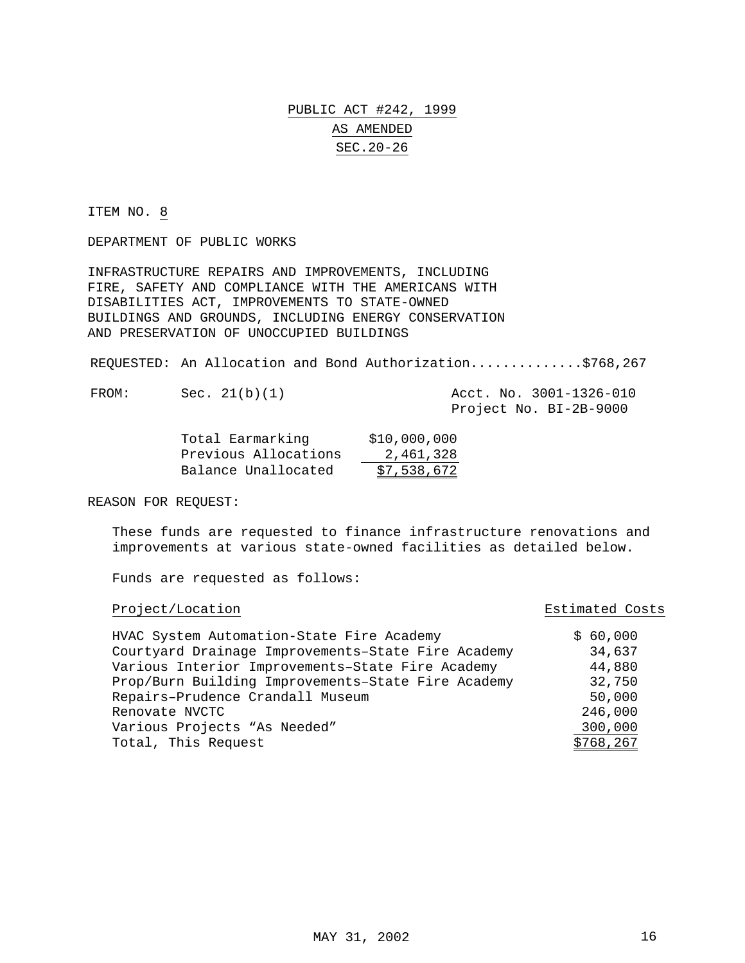# PUBLIC ACT #242, 1999 AS AMENDED SEC.20-26

ITEM NO. 8

DEPARTMENT OF PUBLIC WORKS

INFRASTRUCTURE REPAIRS AND IMPROVEMENTS, INCLUDING FIRE, SAFETY AND COMPLIANCE WITH THE AMERICANS WITH DISABILITIES ACT, IMPROVEMENTS TO STATE-OWNED BUILDINGS AND GROUNDS, INCLUDING ENERGY CONSERVATION AND PRESERVATION OF UNOCCUPIED BUILDINGS

REQUESTED: An Allocation and Bond Authorization..............\$768,267

FROM: Sec. 21(b)(1)  $\overline{AC}$ , No. 3001-1326-010

Project No. BI-2B-9000

| Total Earmarking     | \$10,000,000 |
|----------------------|--------------|
| Previous Allocations | 2,461,328    |
| Balance Unallocated  | \$7,538,672  |

REASON FOR REQUEST:

These funds are requested to finance infrastructure renovations and improvements at various state-owned facilities as detailed below.

Funds are requested as follows:

### Project/Location Estimated Costs

| HVAC System Automation-State Fire Academy          | \$60,000   |
|----------------------------------------------------|------------|
| Courtyard Drainage Improvements-State Fire Academy | 34,637     |
| Various Interior Improvements-State Fire Academy   | 44,880     |
| Prop/Burn Building Improvements-State Fire Academy | 32,750     |
| Repairs-Prudence Crandall Museum                   | 50,000     |
| Renovate NVCTC                                     | 246,000    |
| Various Projects "As Needed"                       | 300,000    |
| Total, This Request                                | \$768, 267 |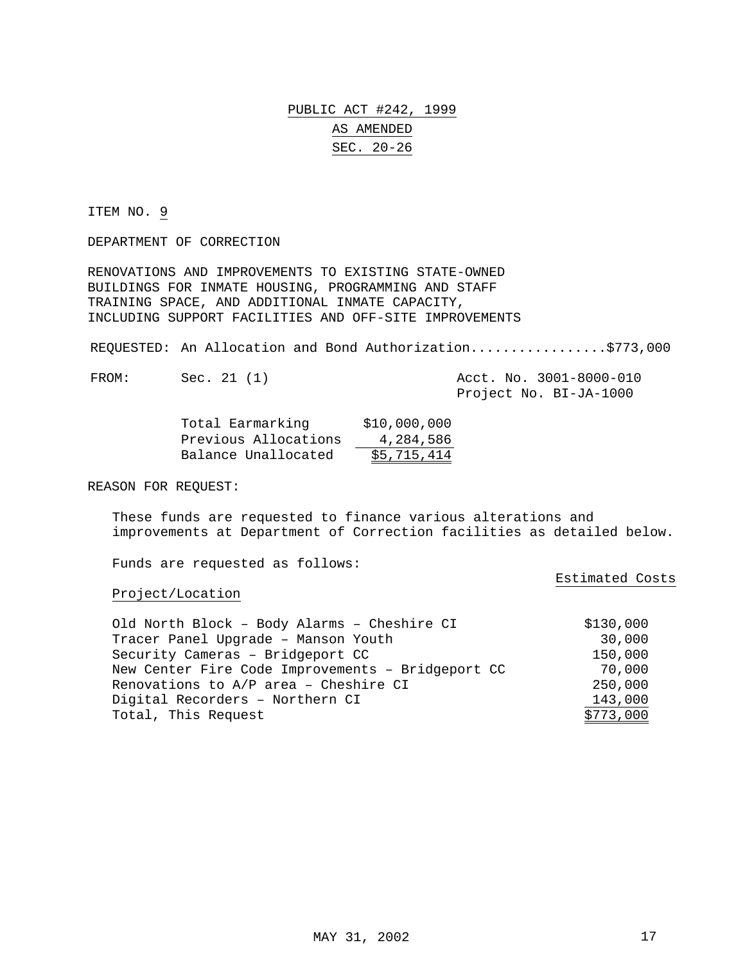## PUBLIC ACT #242, 1999 AS AMENDED SEC. 20-26

ITEM NO. 9

DEPARTMENT OF CORRECTION

RENOVATIONS AND IMPROVEMENTS TO EXISTING STATE-OWNED BUILDINGS FOR INMATE HOUSING, PROGRAMMING AND STAFF TRAINING SPACE, AND ADDITIONAL INMATE CAPACITY, INCLUDING SUPPORT FACILITIES AND OFF-SITE IMPROVEMENTS

REQUESTED: An Allocation and Bond Authorization.................\$773,000

FROM: Sec. 21 (1) Acct. No. 3001-8000-010 Project No. BI-JA-1000

Estimated Costs

| Total Earmarking     | \$10,000,000 |
|----------------------|--------------|
| Previous Allocations | 4,284,586    |
| Balance Unallocated  | \$5,715,414  |

REASON FOR REQUEST:

These funds are requested to finance various alterations and improvements at Department of Correction facilities as detailed below.

Funds are requested as follows:

### Project/Location

Old North Block - Body Alarms - Cheshire CI  $$130,000$ Tracer Panel Upgrade – Manson Youth 30,000 Security Cameras - Bridgeport CC 150,000 New Center Fire Code Improvements – Bridgeport CC 70,000 Renovations to A/P area – Cheshire CI 250,000 Digital Recorders – Northern CI 143,000 Total, This Request  $\frac{1}{5773,000}$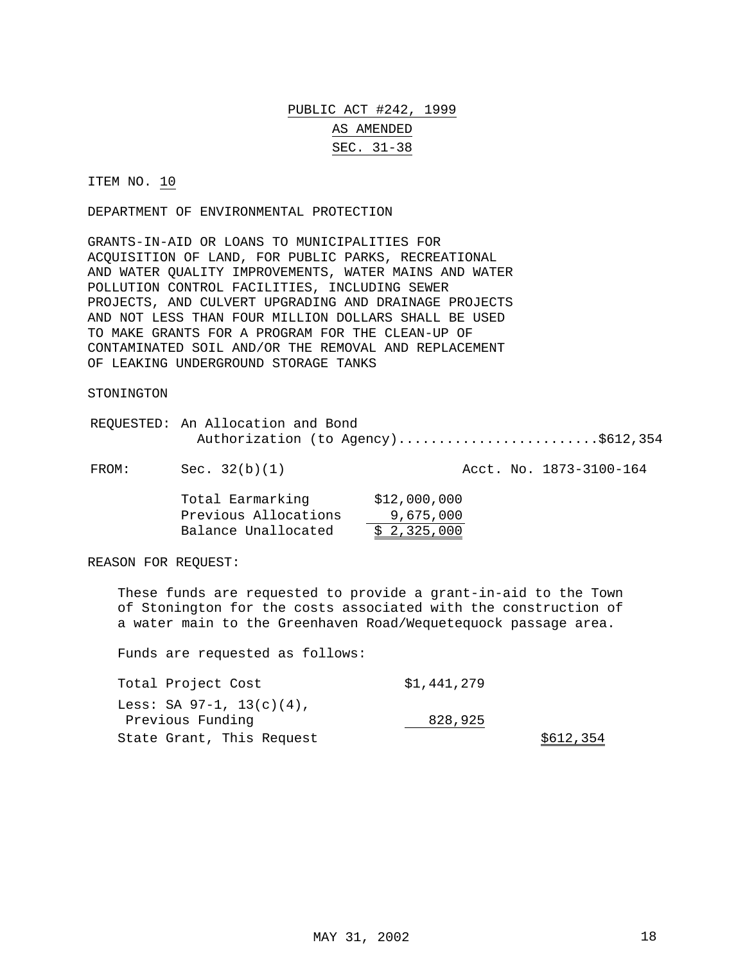# PUBLIC ACT #242, 1999 AS AMENDED SEC. 31-38

#### ITEM NO. 10

DEPARTMENT OF ENVIRONMENTAL PROTECTION

GRANTS-IN-AID OR LOANS TO MUNICIPALITIES FOR ACQUISITION OF LAND, FOR PUBLIC PARKS, RECREATIONAL AND WATER QUALITY IMPROVEMENTS, WATER MAINS AND WATER POLLUTION CONTROL FACILITIES, INCLUDING SEWER PROJECTS, AND CULVERT UPGRADING AND DRAINAGE PROJECTS AND NOT LESS THAN FOUR MILLION DOLLARS SHALL BE USED TO MAKE GRANTS FOR A PROGRAM FOR THE CLEAN-UP OF CONTAMINATED SOIL AND/OR THE REMOVAL AND REPLACEMENT OF LEAKING UNDERGROUND STORAGE TANKS

### STONINGTON

| REQUESTED: An Allocation and Bond  |  |
|------------------------------------|--|
| Authorization (to Agency)\$612,354 |  |

FROM: Sec. 32(b)(1) Acct. No. 1873-3100-164

| Total Earmarking     | \$12,000,000 |
|----------------------|--------------|
| Previous Allocations | 9,675,000    |
| Balance Unallocated  | \$2,325,000  |

REASON FOR REQUEST:

These funds are requested to provide a grant-in-aid to the Town of Stonington for the costs associated with the construction of a water main to the Greenhaven Road/Wequetequock passage area.

Funds are requested as follows:

| Total Project Cost             | \$1,441,279 |           |
|--------------------------------|-------------|-----------|
| Less: SA $97-1$ , $13(c)(4)$ , |             |           |
| Previous Funding               | 828,925     |           |
| State Grant, This Request      |             | \$612,354 |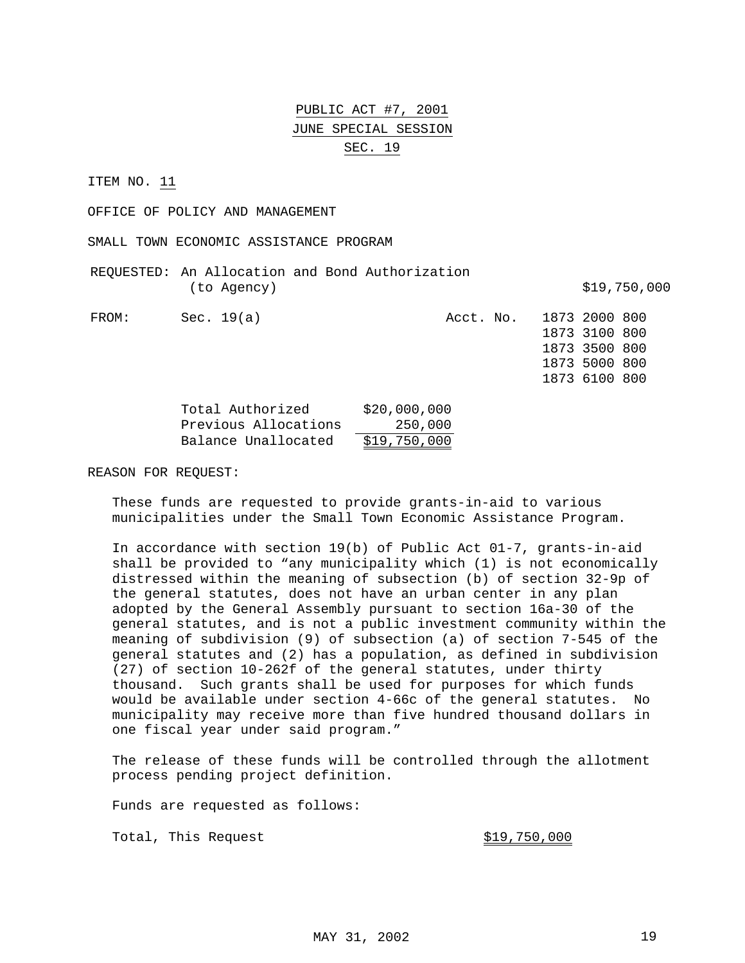## PUBLIC ACT #7, 2001 JUNE SPECIAL SESSION SEC. 19

ITEM NO. 11

OFFICE OF POLICY AND MANAGEMENT

SMALL TOWN ECONOMIC ASSISTANCE PROGRAM

|             | REQUESTED: An Allocation and Bond Authorization |              |
|-------------|-------------------------------------------------|--------------|
| (to Agency) |                                                 | \$19,750,000 |

| FROM: | Sec. $19(a)$                                                                                                                                                                                                                                                                                                                                                                                                        | Acct. No.   | 1873 2000 800 |
|-------|---------------------------------------------------------------------------------------------------------------------------------------------------------------------------------------------------------------------------------------------------------------------------------------------------------------------------------------------------------------------------------------------------------------------|-------------|---------------|
|       |                                                                                                                                                                                                                                                                                                                                                                                                                     |             | 1873 3100 800 |
|       |                                                                                                                                                                                                                                                                                                                                                                                                                     |             | 1873 3500 800 |
|       |                                                                                                                                                                                                                                                                                                                                                                                                                     |             | 1873 5000 800 |
|       |                                                                                                                                                                                                                                                                                                                                                                                                                     |             | 1873 6100 800 |
|       | $T_{0}$ $\uparrow$ $\uparrow$ $\uparrow$ $\uparrow$ $\uparrow$ $\uparrow$ $\uparrow$ $\uparrow$ $\uparrow$ $\uparrow$ $\uparrow$ $\uparrow$ $\uparrow$ $\uparrow$ $\uparrow$ $\uparrow$ $\uparrow$ $\uparrow$ $\uparrow$ $\uparrow$ $\uparrow$ $\uparrow$ $\uparrow$ $\uparrow$ $\uparrow$ $\uparrow$ $\uparrow$ $\uparrow$ $\uparrow$ $\uparrow$ $\uparrow$ $\uparrow$ $\uparrow$ $\uparrow$ $\uparrow$ $\uparrow$ | ANN NUU NUU |               |

| Total Authorized     | \$20,000,000 |
|----------------------|--------------|
| Previous Allocations | 250,000      |
| Balance Unallocated  | \$19,750,000 |

REASON FOR REQUEST:

These funds are requested to provide grants-in-aid to various municipalities under the Small Town Economic Assistance Program.

In accordance with section 19(b) of Public Act 01-7, grants-in-aid shall be provided to "any municipality which (1) is not economically distressed within the meaning of subsection (b) of section 32-9p of the general statutes, does not have an urban center in any plan adopted by the General Assembly pursuant to section 16a-30 of the general statutes, and is not a public investment community within the meaning of subdivision (9) of subsection (a) of section 7-545 of the general statutes and (2) has a population, as defined in subdivision (27) of section 10-262f of the general statutes, under thirty thousand. Such grants shall be used for purposes for which funds would be available under section 4-66c of the general statutes. No municipality may receive more than five hundred thousand dollars in one fiscal year under said program."

The release of these funds will be controlled through the allotment process pending project definition.

Funds are requested as follows:

Total, This Request  $$19,750,000$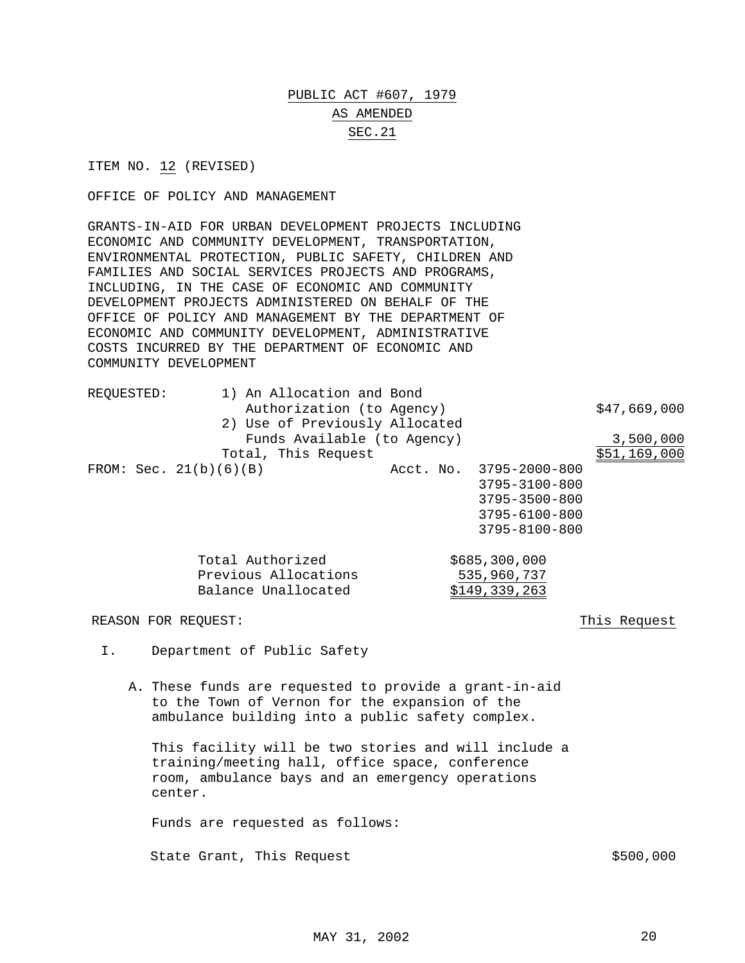## PUBLIC ACT #607, 1979 AS AMENDED SEC.21

ITEM NO. 12 (REVISED)

OFFICE OF POLICY AND MANAGEMENT

GRANTS-IN-AID FOR URBAN DEVELOPMENT PROJECTS INCLUDING ECONOMIC AND COMMUNITY DEVELOPMENT, TRANSPORTATION, ENVIRONMENTAL PROTECTION, PUBLIC SAFETY, CHILDREN AND FAMILIES AND SOCIAL SERVICES PROJECTS AND PROGRAMS, INCLUDING, IN THE CASE OF ECONOMIC AND COMMUNITY DEVELOPMENT PROJECTS ADMINISTERED ON BEHALF OF THE OFFICE OF POLICY AND MANAGEMENT BY THE DEPARTMENT OF ECONOMIC AND COMMUNITY DEVELOPMENT, ADMINISTRATIVE COSTS INCURRED BY THE DEPARTMENT OF ECONOMIC AND COMMUNITY DEVELOPMENT

| REQUESTED:          | 1) An Allocation and Bond      |  |                         |              |  |
|---------------------|--------------------------------|--|-------------------------|--------------|--|
|                     | Authorization (to Agency)      |  |                         | \$47,669,000 |  |
|                     | 2) Use of Previously Allocated |  |                         |              |  |
|                     | Funds Available (to Agency)    |  |                         | 3,500,000    |  |
|                     | Total, This Request            |  |                         | \$51,169,000 |  |
|                     | FROM: Sec. $21(b)(6)(B)$       |  | Acct. No. 3795-2000-800 |              |  |
|                     |                                |  | 3795-3100-800           |              |  |
|                     |                                |  | $3795 - 3500 - 800$     |              |  |
|                     |                                |  | 3795-6100-800           |              |  |
|                     |                                |  | 3795-8100-800           |              |  |
|                     | Total Authorized               |  |                         |              |  |
|                     |                                |  | \$685,300,000           |              |  |
|                     | Previous Allocations           |  | 535,960,737             |              |  |
|                     | Balance Unallocated            |  | \$149,339,263           |              |  |
| REASON FOR REOUEST: |                                |  |                         | This Request |  |
|                     |                                |  |                         |              |  |

- I. Department of Public Safety
	- A. These funds are requested to provide a grant-in-aid to the Town of Vernon for the expansion of the ambulance building into a public safety complex.

This facility will be two stories and will include a training/meeting hall, office space, conference room, ambulance bays and an emergency operations center.

Funds are requested as follows:

State Grant, This Request  $$500,000$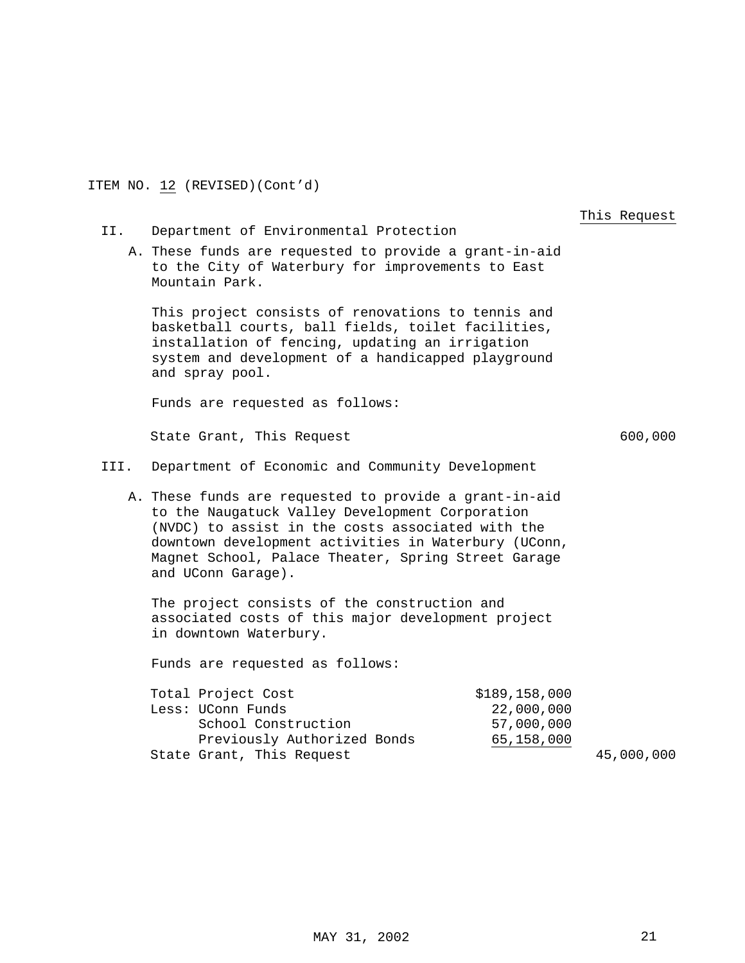ITEM NO. 12 (REVISED)(Cont'd)

|      |                                                                                                                                                                                                                                                                                                     |                                        | This Request |
|------|-----------------------------------------------------------------------------------------------------------------------------------------------------------------------------------------------------------------------------------------------------------------------------------------------------|----------------------------------------|--------------|
| II.  | Department of Environmental Protection<br>A. These funds are requested to provide a grant-in-aid<br>to the City of Waterbury for improvements to East<br>Mountain Park.                                                                                                                             |                                        |              |
|      | This project consists of renovations to tennis and<br>basketball courts, ball fields, toilet facilities,<br>installation of fencing, updating an irrigation<br>system and development of a handicapped playground<br>and spray pool.                                                                |                                        |              |
|      | Funds are requested as follows:                                                                                                                                                                                                                                                                     |                                        |              |
|      | State Grant, This Request                                                                                                                                                                                                                                                                           |                                        | 600,000      |
| III. | Department of Economic and Community Development                                                                                                                                                                                                                                                    |                                        |              |
|      | A. These funds are requested to provide a grant-in-aid<br>to the Naugatuck Valley Development Corporation<br>(NVDC) to assist in the costs associated with the<br>downtown development activities in Waterbury (UConn,<br>Magnet School, Palace Theater, Spring Street Garage<br>and UConn Garage). |                                        |              |
|      | The project consists of the construction and<br>associated costs of this major development project<br>in downtown Waterbury.                                                                                                                                                                        |                                        |              |
|      | Funds are requested as follows:                                                                                                                                                                                                                                                                     |                                        |              |
|      | Total Project Cost<br>\$189,158,000<br>Less: UConn Funds<br>School Construction<br>Previously Authorized Bonds                                                                                                                                                                                      | 22,000,000<br>57,000,000<br>65,158,000 |              |
|      | State Grant, This Request                                                                                                                                                                                                                                                                           |                                        | 45,000,000   |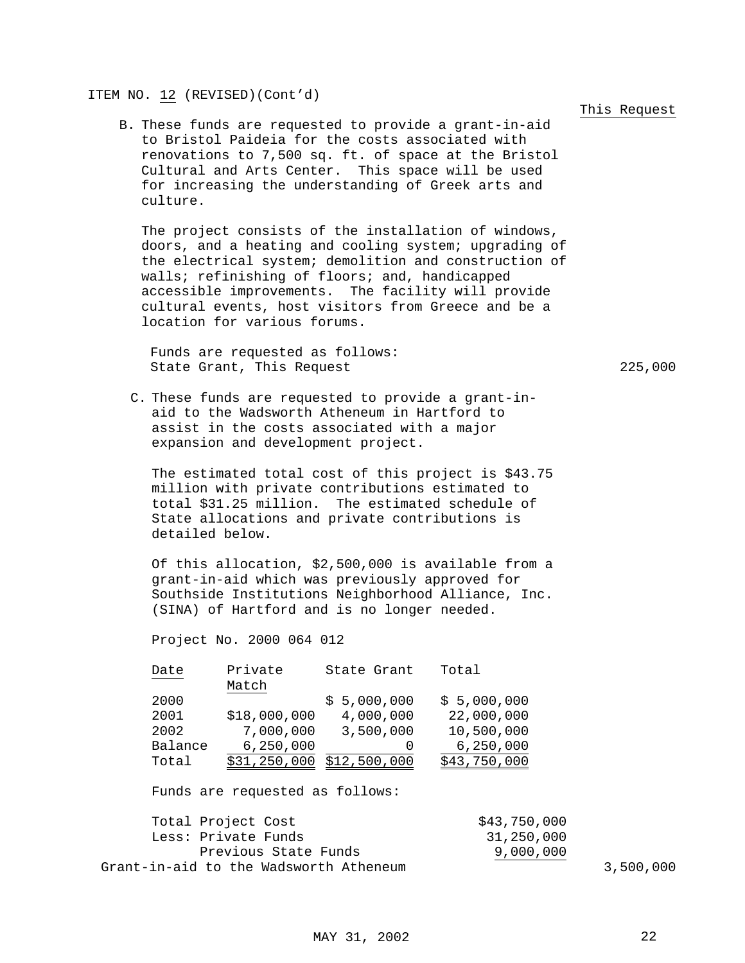#### ITEM NO. 12 (REVISED)(Cont'd)

B. These funds are requested to provide a grant-in-aid to Bristol Paideia for the costs associated with renovations to 7,500 sq. ft. of space at the Bristol Cultural and Arts Center. This space will be used for increasing the understanding of Greek arts and culture.

The project consists of the installation of windows, doors, and a heating and cooling system; upgrading of the electrical system; demolition and construction of walls; refinishing of floors; and, handicapped accessible improvements. The facility will provide cultural events, host visitors from Greece and be a location for various forums.

Funds are requested as follows: State Grant, This Request 225,000

C. These funds are requested to provide a grant-inaid to the Wadsworth Atheneum in Hartford to assist in the costs associated with a major expansion and development project.

The estimated total cost of this project is \$43.75 million with private contributions estimated to total \$31.25 million. The estimated schedule of State allocations and private contributions is detailed below.

Of this allocation, \$2,500,000 is available from a grant-in-aid which was previously approved for Southside Institutions Neighborhood Alliance, Inc. (SINA) of Hartford and is no longer needed.

Project No. 2000 064 012

| Date    | Private<br>Match | State Grant      | Total        |
|---------|------------------|------------------|--------------|
| 2000    |                  | \$5,000,000      | \$5,000,000  |
| 2001    | \$18,000,000     | 4,000,000        | 22,000,000   |
| 2002    | 7,000,000        | 3,500,000        | 10,500,000   |
| Balance | 6, 250, 000      | $\left( \right)$ | 6, 250, 000  |
| Total   | \$31,250,000     | \$12,500,000     | \$43,750,000 |

Funds are requested as follows:

| Total Project Cost                     | \$43,750,000 |           |
|----------------------------------------|--------------|-----------|
| Less: Private Funds                    | 31,250,000   |           |
| Previous State Funds                   | 9,000,000    |           |
| Grant-in-aid to the Wadsworth Atheneum |              | 3,500,000 |

#### This Request

MAY 31, 2002 22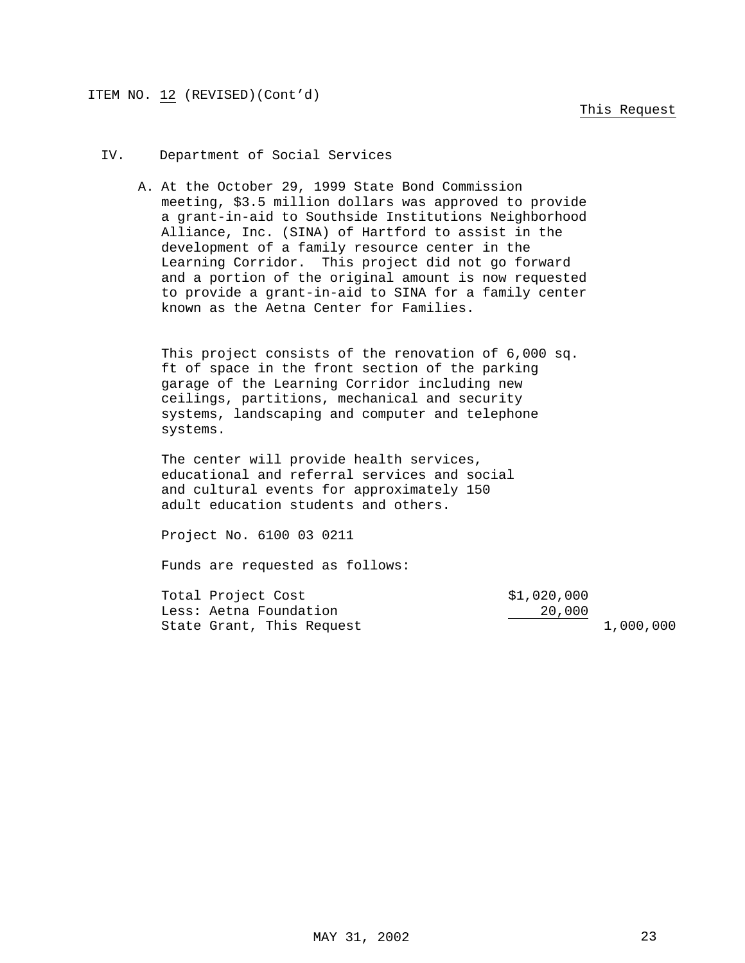### This Request

### IV. Department of Social Services

A. At the October 29, 1999 State Bond Commission meeting, \$3.5 million dollars was approved to provide a grant-in-aid to Southside Institutions Neighborhood Alliance, Inc. (SINA) of Hartford to assist in the development of a family resource center in the Learning Corridor. This project did not go forward and a portion of the original amount is now requested to provide a grant-in-aid to SINA for a family center known as the Aetna Center for Families.

This project consists of the renovation of 6,000 sq. ft of space in the front section of the parking garage of the Learning Corridor including new ceilings, partitions, mechanical and security systems, landscaping and computer and telephone systems.

The center will provide health services, educational and referral services and social and cultural events for approximately 150 adult education students and others.

Project No. 6100 03 0211

Funds are requested as follows:

Total Project Cost  $$1,020,000$ Less: Aetna Foundation 20,000 State Grant, This Request 1,000,000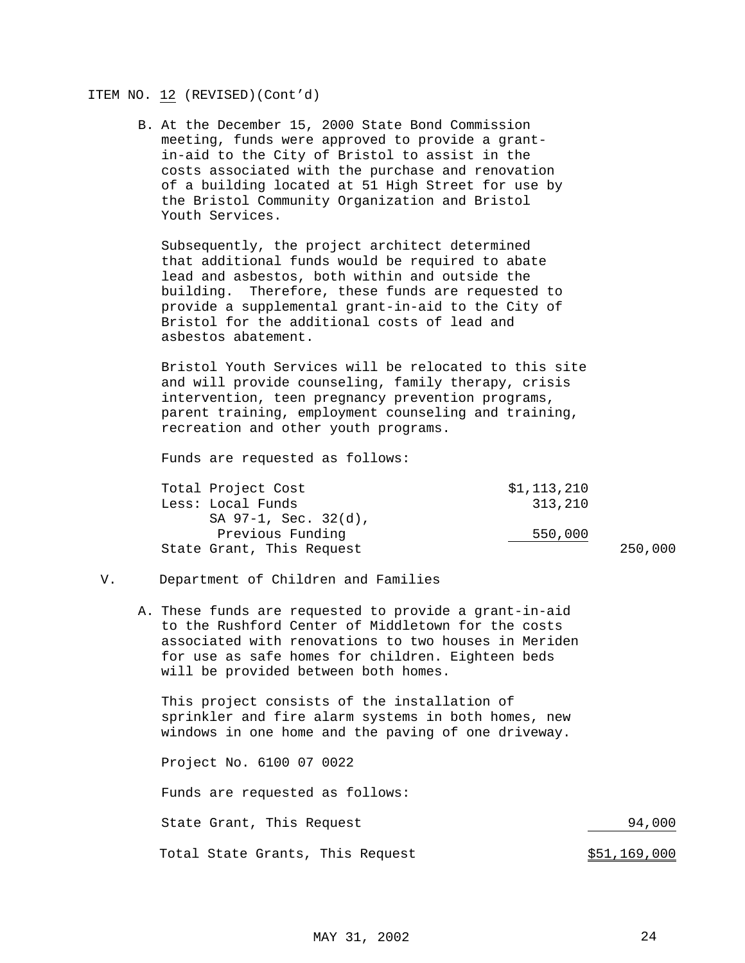### ITEM NO. 12 (REVISED)(Cont'd)

B. At the December 15, 2000 State Bond Commission meeting, funds were approved to provide a grantin-aid to the City of Bristol to assist in the costs associated with the purchase and renovation of a building located at 51 High Street for use by the Bristol Community Organization and Bristol Youth Services.

Subsequently, the project architect determined that additional funds would be required to abate lead and asbestos, both within and outside the building. Therefore, these funds are requested to provide a supplemental grant-in-aid to the City of Bristol for the additional costs of lead and asbestos abatement.

Bristol Youth Services will be relocated to this site and will provide counseling, family therapy, crisis intervention, teen pregnancy prevention programs, parent training, employment counseling and training, recreation and other youth programs.

Funds are requested as follows:

| Total Project Cost        | \$1,113,210 |         |
|---------------------------|-------------|---------|
| Less: Local Funds         | 313,210     |         |
| SA 97-1, Sec. 32(d),      |             |         |
| Previous Funding          | 550,000     |         |
| State Grant, This Request |             | 250,000 |

### V. Department of Children and Families

A. These funds are requested to provide a grant-in-aid to the Rushford Center of Middletown for the costs associated with renovations to two houses in Meriden for use as safe homes for children. Eighteen beds will be provided between both homes.

This project consists of the installation of sprinkler and fire alarm systems in both homes, new windows in one home and the paving of one driveway.

Project No. 6100 07 0022

Funds are requested as follows:

State Grant, This Request 34,000

Total State Grants, This Request  $$51,169,000$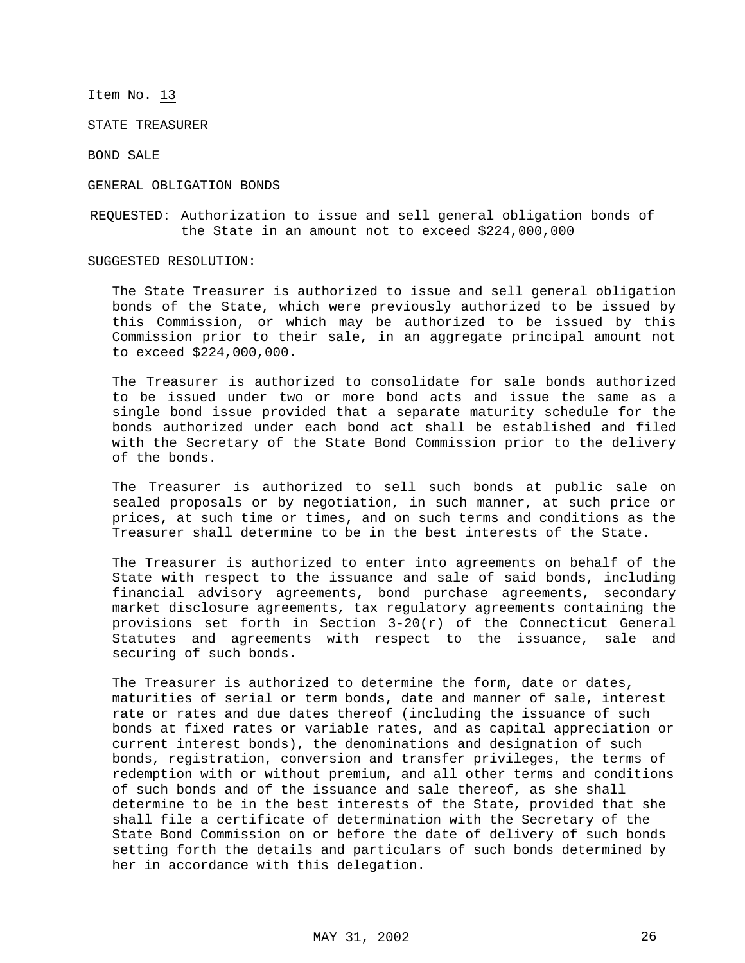Item No. 13

STATE TREASURER

BOND SALE

GENERAL OBLIGATION BONDS

REQUESTED: Authorization to issue and sell general obligation bonds of the State in an amount not to exceed \$224,000,000

#### SUGGESTED RESOLUTION:

The State Treasurer is authorized to issue and sell general obligation bonds of the State, which were previously authorized to be issued by this Commission, or which may be authorized to be issued by this Commission prior to their sale, in an aggregate principal amount not to exceed \$224,000,000.

The Treasurer is authorized to consolidate for sale bonds authorized to be issued under two or more bond acts and issue the same as a single bond issue provided that a separate maturity schedule for the bonds authorized under each bond act shall be established and filed with the Secretary of the State Bond Commission prior to the delivery of the bonds.

The Treasurer is authorized to sell such bonds at public sale on sealed proposals or by negotiation, in such manner, at such price or prices, at such time or times, and on such terms and conditions as the Treasurer shall determine to be in the best interests of the State.

The Treasurer is authorized to enter into agreements on behalf of the State with respect to the issuance and sale of said bonds, including financial advisory agreements, bond purchase agreements, secondary market disclosure agreements, tax regulatory agreements containing the provisions set forth in Section 3-20(r) of the Connecticut General Statutes and agreements with respect to the issuance, sale and securing of such bonds.

The Treasurer is authorized to determine the form, date or dates, maturities of serial or term bonds, date and manner of sale, interest rate or rates and due dates thereof (including the issuance of such bonds at fixed rates or variable rates, and as capital appreciation or current interest bonds), the denominations and designation of such bonds, registration, conversion and transfer privileges, the terms of redemption with or without premium, and all other terms and conditions of such bonds and of the issuance and sale thereof, as she shall determine to be in the best interests of the State, provided that she shall file a certificate of determination with the Secretary of the State Bond Commission on or before the date of delivery of such bonds setting forth the details and particulars of such bonds determined by her in accordance with this delegation.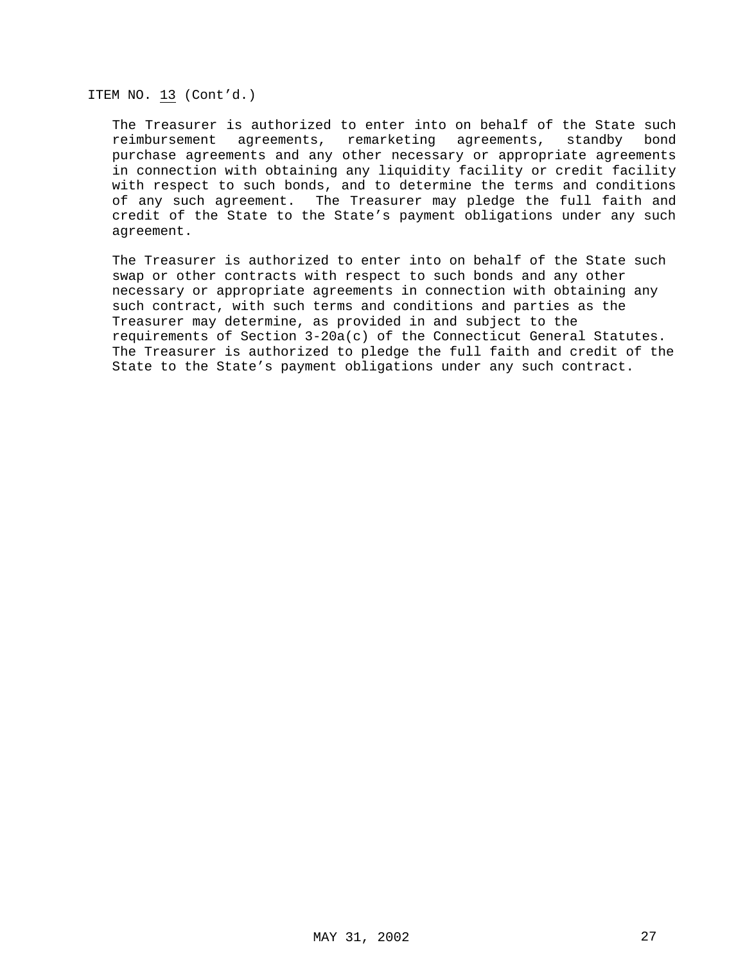ITEM NO. 13 (Cont'd.)

The Treasurer is authorized to enter into on behalf of the State such reimbursement agreements, remarketing agreements, standby bond purchase agreements and any other necessary or appropriate agreements in connection with obtaining any liquidity facility or credit facility with respect to such bonds, and to determine the terms and conditions of any such agreement. The Treasurer may pledge the full faith and credit of the State to the State's payment obligations under any such agreement.

The Treasurer is authorized to enter into on behalf of the State such swap or other contracts with respect to such bonds and any other necessary or appropriate agreements in connection with obtaining any such contract, with such terms and conditions and parties as the Treasurer may determine, as provided in and subject to the requirements of Section 3-20a(c) of the Connecticut General Statutes. The Treasurer is authorized to pledge the full faith and credit of the State to the State's payment obligations under any such contract.